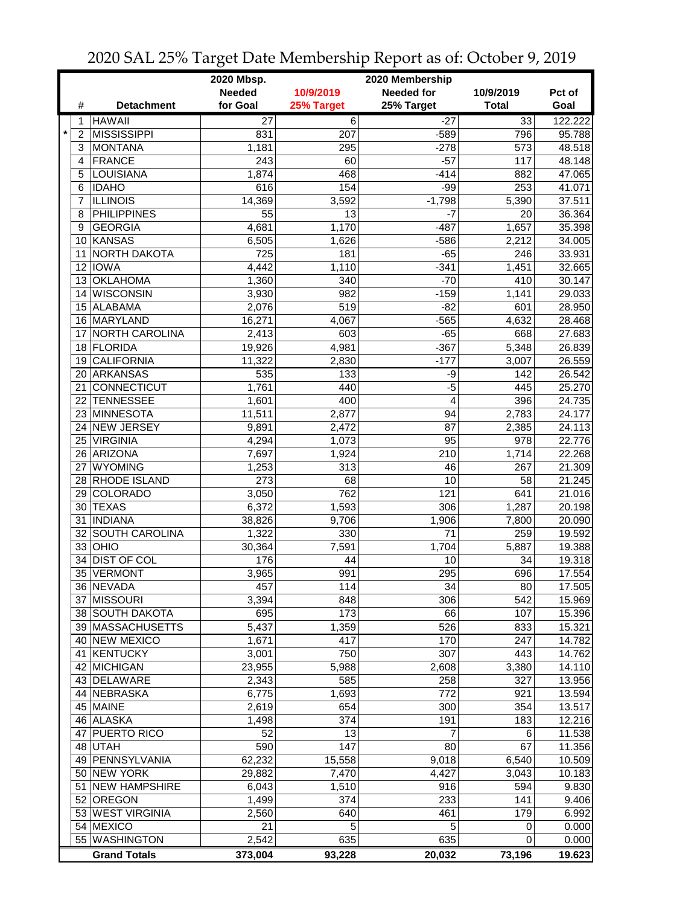|                           |                              | 2020 Mbsp.       |                | 2020 Membership   |                 |                  |
|---------------------------|------------------------------|------------------|----------------|-------------------|-----------------|------------------|
|                           |                              | <b>Needed</b>    | 10/9/2019      | <b>Needed for</b> | 10/9/2019       | Pct of           |
| #                         | <b>Detachment</b>            | for Goal         | 25% Target     | 25% Target        | <b>Total</b>    | Goal             |
| 1                         | <b>HAWAII</b>                | $\overline{27}$  | $\overline{6}$ | $-27$             | $\overline{33}$ | 122.222          |
| $\star$<br>$\overline{2}$ | <b>MISSISSIPPI</b>           | 831              | 207            | $-589$            | 796             | 95.788           |
| 3                         | <b>MONTANA</b>               | 1,181            | 295            | $-278$            | 573             | 48.518           |
| 4                         | <b>FRANCE</b>                | $\overline{243}$ | 60             | $-57$             | 117             | 48.148           |
| 5                         | <b>LOUISIANA</b>             | 1,874            | 468            | $-414$            | 882             | 47.065           |
| 6                         | <b>IDAHO</b>                 | 616              | 154            | $-99$             | 253             | 41.071           |
| 7                         | <b>ILLINOIS</b>              | 14,369           | 3,592          | $-1,798$          | 5,390           | 37.511           |
| 8                         | <b>PHILIPPINES</b>           | 55               | 13             | $-7$              | 20              | 36.364           |
| 9                         | <b>GEORGIA</b>               | 4,681            | 1,170          | $-487$            | 1,657           | 35.398           |
| 10                        | <b>KANSAS</b>                | 6,505            | 1,626          | $-586$            | 2,212           | 34.005           |
| 11                        | NORTH DAKOTA                 | 725              | 181            | $-65$             | 246             | 33.931           |
| 12                        | <b>IOWA</b>                  | 4,442            | 1,110          | $-341$            | 1,451           | 32.665           |
| 13                        | <b>OKLAHOMA</b>              | 1,360            | 340            | $-70$             | 410             | 30.147           |
| 14                        | <b>WISCONSIN</b>             | 3,930            | 982            | $-159$            | 1,141           | 29.033           |
|                           | 15 ALABAMA                   | 2,076            | 519            | $-82$             | 601             | 28.950           |
|                           | 16 MARYLAND                  | 16,271           | 4,067          | $-565$            | 4,632           | 28.468           |
| 17                        | <b>NORTH CAROLINA</b>        | 2,413            | 603            | $-65$             | 668             | 27.683           |
|                           | 18 FLORIDA                   | 19,926           | 4,981          | $-367$            | 5,348           | 26.839           |
| 19                        | <b>CALIFORNIA</b>            | 11,322           | 2,830          | $-177$            | 3,007           | 26.559           |
| 20                        | <b>ARKANSAS</b>              | 535              | 133            | -9                | 142             | 26.542           |
| 21                        | CONNECTICUT                  | 1,761            | 440            | $-5$              | 445             | 25.270           |
| 22                        | <b>TENNESSEE</b>             | 1,601            | 400            | $\overline{4}$    | 396             | 24.735           |
| 23                        | MINNESOTA                    | 11,511           | 2,877          | 94                | 2,783           | 24.177           |
| 24                        | <b>NEW JERSEY</b>            | 9,891            | 2,472          | 87                | 2,385           | 24.113           |
| 25                        | <b>VIRGINIA</b>              | 4,294            | 1,073          | 95                | 978             | 22.776           |
| 26                        | <b>ARIZONA</b>               | 7,697            | 1,924          | 210               | 1,714           | 22.268           |
| 27                        | <b>WYOMING</b>               | 1,253            | 313            | 46                | 267             | 21.309           |
| 28                        | RHODE ISLAND                 | 273              | 68             | 10                | 58              | 21.245           |
| 29                        | COLORADO                     | 3,050            | 762            | 121               | 641             | 21.016           |
| 30                        | <b>TEXAS</b>                 | 6,372            | 1,593          | 306               | 1,287           | 20.198           |
| 31                        | <b>INDIANA</b>               | 38,826           | 9,706          | 1,906             | 7,800           | 20.090           |
|                           | 32 SOUTH CAROLINA            | 1,322            | 330            | 71                | 259             | 19.592           |
|                           | $33$ OHIO                    | 30,364           | 7,591          | 1,704             | 5,887           | 19.388           |
| 34                        | <b>DIST OF COL</b>           | 176              | 44             | 10                | 34              | 19.318           |
|                           | 35 VERMONT                   | 3,965            | 991            | 295               | 696             | 17.554           |
|                           |                              |                  |                |                   |                 |                  |
| 37 <sup>1</sup>           | 36 NEVADA<br><b>MISSOURI</b> | 457<br>3,394     | 114<br>848     | 34<br>306         | 80<br>542       | 17.505<br>15.969 |
|                           | 38 SOUTH DAKOTA              | 695              | 173            | 66                | 107             |                  |
|                           | 39 MASSACHUSETTS             | 5,437            | 1,359          | 526               | 833             | 15.396<br>15.321 |
|                           | 40 NEW MEXICO                | 1,671            | 417            | 170               | 247             | 14.782           |
| 41                        | KENTUCKY                     | 3,001            | 750            | 307               | 443             | 14.762           |
|                           | 42 MICHIGAN                  | 23,955           | 5,988          | 2,608             | 3,380           | 14.110           |
|                           | 43 DELAWARE                  |                  | 585            | 258               | 327             | 13.956           |
|                           | 44 NEBRASKA                  | 2,343            |                | 772               |                 |                  |
|                           | 45 MAINE                     | 6,775            | 1,693<br>654   | 300               | 921<br>354      | 13.594<br>13.517 |
|                           | 46 ALASKA                    | 2,619            | 374            | 191               |                 |                  |
|                           | 47 PUERTO RICO               | 1,498            |                |                   | 183             | 12.216           |
|                           |                              | 52<br>590        | 13<br>147      | 7<br>80           | 6<br>67         | 11.538           |
|                           | 48 UTAH<br>49 PENNSYLVANIA   |                  |                |                   |                 | 11.356           |
|                           | 50 NEW YORK                  | 62,232           | 15,558         | 9,018             | 6,540           | 10.509           |
|                           |                              | 29,882           | 7,470          | 4,427             | 3,043           | 10.183           |
| 51                        | <b>NEW HAMPSHIRE</b>         | 6,043            | 1,510          | 916               | 594             | 9.830            |
|                           | 52 OREGON                    | 1,499            | 374            | 233               | 141             | 9.406            |
|                           | 53 WEST VIRGINIA             | 2,560            | 640            | 461               | 179             | 6.992            |
|                           | 54 MEXICO                    | 21               | 5              | 5                 | 0               | 0.000            |
|                           | 55 WASHINGTON                | 2,542            | 635            | 635               | 0               | 0.000            |
|                           | <b>Grand Totals</b>          | 373,004          | 93,228         | 20,032            | 73,196          | 19.623           |

## 2020 SAL 25% Target Date Membership Report as of: October 9, 2019